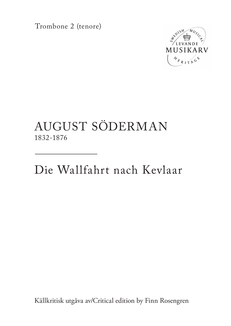Trombone 2 (tenore)



## AUGUST SÖDERMAN 1832-1876

Die Wallfahrt nach Kevlaar

Källkritisk utgåva av/Critical edition by Finn Rosengren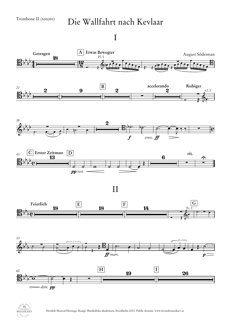## Die Wallfahrt nach Kevlaar

## I